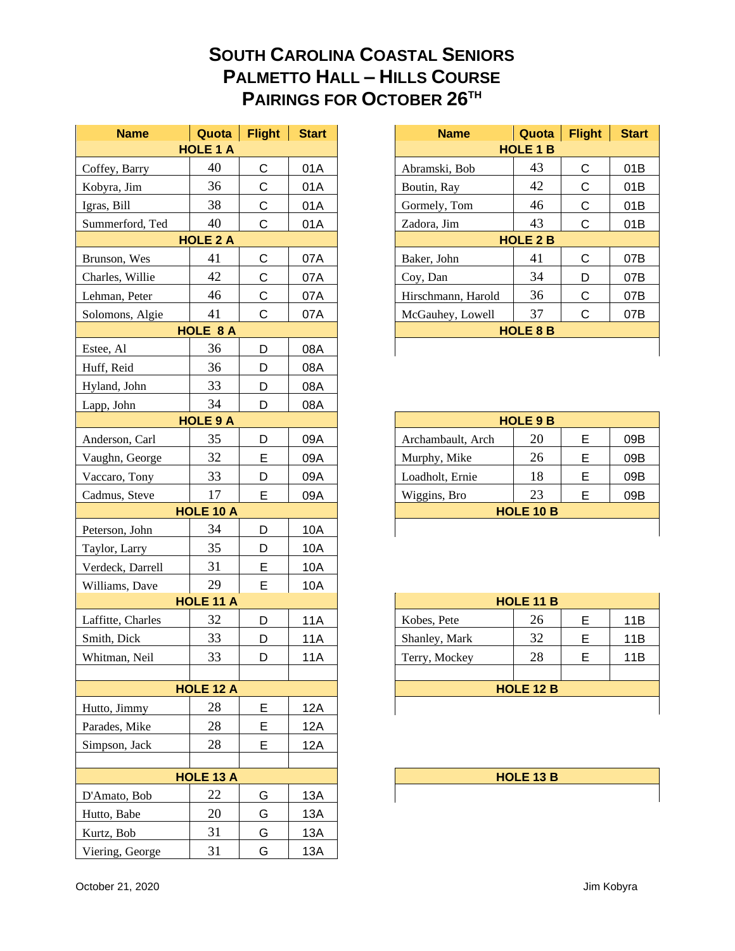## **SOUTH CAROLINA COASTAL SENIORS PALMETTO HALL – HILLS COURSE PAIRINGS FOR OCTOBER 26TH**

| <b>Name</b>       | Quota            | <b>Flight</b> | <b>Start</b> |
|-------------------|------------------|---------------|--------------|
|                   | <b>HOLE 1 A</b>  |               |              |
| Coffey, Barry     | 40               | С             | 01A          |
| Kobyra, Jim       | 36               | $\mathsf C$   | 01A          |
| Igras, Bill       | 38               | C             | 01A          |
| Summerford, Ted   | 40               | C             | 01A          |
|                   | <b>HOLE 2 A</b>  |               |              |
| Brunson, Wes      | 41               | C             | 07A          |
| Charles, Willie   | 42               | C             | 07A          |
| Lehman, Peter     | 46               | $\mathsf C$   | 07A          |
| Solomons, Algie   | 41               | $\mathsf C$   | 07A          |
|                   | <b>HOLE 8 A</b>  |               |              |
| Estee, Al         | 36               | D             | 08A          |
| Huff, Reid        | 36               | D             | 08A          |
| Hyland, John      | 33               | D             | 08A          |
| Lapp, John        | 34               | D             | 08A          |
|                   | <b>HOLE 9 A</b>  |               |              |
| Anderson, Carl    | 35               | D             | 09A          |
| Vaughn, George    | 32               | E             | 09A          |
| Vaccaro, Tony     | 33               | D             | 09A          |
| Cadmus, Steve     | 17               | E             | 09A          |
|                   | <b>HOLE 10 A</b> |               |              |
| Peterson, John    | 34               | D             | 10A          |
| Taylor, Larry     | 35               | D             | 10A          |
| Verdeck, Darrell  | 31               | E             | 10A          |
| Williams, Dave    | 29               | E             | 10A          |
|                   | <b>HOLE 11 A</b> |               |              |
| Laffitte, Charles | 32               | D             | 11A          |
| Smith, Dick       | 33               | D             | <b>11A</b>   |
| Whitman, Neil     | 33               | D             | 11A          |
|                   |                  |               |              |
|                   | HOLE 12 A        |               |              |
| Hutto, Jimmy      | 28               | E             | 12A          |
| Parades, Mike     | 28               | E             | <b>12A</b>   |
| Simpson, Jack     | 28               | E             | 12A          |
|                   |                  |               |              |
|                   | HOLE 13 A        |               |              |
| D'Amato, Bob      | 22               | G             | 13A          |
| Hutto, Babe       | 20               | G             | 13A          |
| Kurtz, Bob        | 31               | G             | 13A          |
| Viering, George   | 31               | G             | 13A          |

| <b>Name</b>     | Quota           | <b>Flight</b> | <b>Start</b> | <b>Name</b>        | Quota           | <b>Flight</b> | <b>Start</b> |
|-----------------|-----------------|---------------|--------------|--------------------|-----------------|---------------|--------------|
|                 | <b>HOLE 1 A</b> |               |              |                    | <b>HOLE 1 B</b> |               |              |
| , Barry         | 40              | C             | 01A          | Abramski, Bob      | 43              | C             | 01B          |
| ı, Jim          | 36              | C             | 01A          | Boutin, Ray        | 42              | C             | 01B          |
| 3ill            | 38              | С             | 01A          | Gormely, Tom       | 46              | C             | 01B          |
| erford, Ted     | 40              | С             | 01A          | Zadora, Jim        | 43              | C             | 01B          |
| <b>HOLE 2 A</b> |                 |               |              | <b>HOLE 2 B</b>    |                 |               |              |
| n, Wes          | 41              | C             | 07A          | Baker, John        | 41              | C             | 07B          |
| s, Willie       | 42              | С             | 07A          | Coy, Dan           | 34              | D             | 07B          |
| n, Peter        | 46              | C             | 07A          | Hirschmann, Harold | 36              | C             | 07B          |
| ons, Algie      | 41              | C             | 07A          | McGauhey, Lowell   | 37              | C             | 07B          |
|                 | <b>HOLE 8 A</b> |               |              |                    | <b>HOLE 8 B</b> |               |              |
| A1              | 36              | D             | 08A          |                    |                 |               |              |

| <b>HOLE 9 A</b>  |    |   |     | <b>HOLE 9 B</b>   |                  |   |     |  |
|------------------|----|---|-----|-------------------|------------------|---|-----|--|
|                  | 35 | D | 09A | Archambault, Arch | 20               | Е | 09B |  |
|                  | 32 | Е | 09A | Murphy, Mike      | 26               | Е | 09B |  |
|                  | 33 | D | 09A | Loadholt, Ernie   | 18               | Е | 09B |  |
|                  | 17 |   | 09A | Wiggins, Bro      | 23               |   | 09B |  |
| <b>HOLE 10 A</b> |    |   |     |                   | <b>HOLE 10 B</b> |   |     |  |
|                  | 34 |   | 10A |                   |                  |   |     |  |

|                  | <b>HOLE 11 A</b> |   |     | <b>HOLE 11 B</b> |    |   |     |  |
|------------------|------------------|---|-----|------------------|----|---|-----|--|
|                  | 32               | D | 11A | Kobes, Pete      | 26 | Е | 11B |  |
|                  | 33               | D | 11A | Shanley, Mark    | 32 | Е | 11B |  |
|                  | 33               |   | 11A | Terry, Mockey    | 28 | E | 11B |  |
|                  |                  |   |     |                  |    |   |     |  |
| <b>HOLE 12 A</b> |                  |   |     | <b>HOLE 12 B</b> |    |   |     |  |
|                  | 28               |   | 12A |                  |    |   |     |  |
|                  |                  |   |     |                  |    |   |     |  |